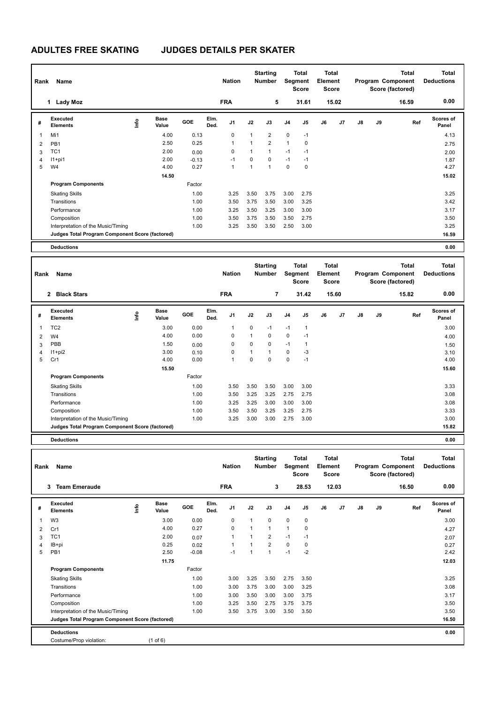# **ADULTES FREE SKATING JUDGES DETAILS PER SKATER**

| Rank           | Name                                            |    |                      |            |              | <b>Nation</b>  |      | <b>Starting</b><br><b>Number</b> |                | Total<br>Segment<br><b>Score</b> | Total<br>Element<br><b>Score</b> |                |               |    | <b>Total</b><br>Program Component<br>Score (factored) | <b>Total</b><br><b>Deductions</b> |
|----------------|-------------------------------------------------|----|----------------------|------------|--------------|----------------|------|----------------------------------|----------------|----------------------------------|----------------------------------|----------------|---------------|----|-------------------------------------------------------|-----------------------------------|
|                | <b>Lady Moz</b><br>1                            |    |                      |            |              | <b>FRA</b>     |      | 5                                |                | 31.61                            |                                  | 15.02          |               |    | 16.59                                                 | 0.00                              |
| #              | <b>Executed</b><br><b>Elements</b>              | ۴ů | <b>Base</b><br>Value | <b>GOE</b> | Elm.<br>Ded. | J <sub>1</sub> | J2   | J3                               | J <sub>4</sub> | J5                               | J6                               | J <sub>7</sub> | $\mathsf{J}8$ | J9 | Ref                                                   | <b>Scores of</b><br>Panel         |
| $\overline{1}$ | Mi1                                             |    | 4.00                 | 0.13       |              | 0              | 1    | $\overline{2}$                   | $\mathbf 0$    | $-1$                             |                                  |                |               |    |                                                       | 4.13                              |
| $\overline{2}$ | PB <sub>1</sub>                                 |    | 2.50                 | 0.25       |              | $\mathbf{1}$   | 1    | $\overline{2}$                   | $\mathbf{1}$   | 0                                |                                  |                |               |    |                                                       | 2.75                              |
| 3              | TC <sub>1</sub>                                 |    | 2.00                 | 0.00       |              | 0              | 1    | $\mathbf{1}$                     | $-1$           | $-1$                             |                                  |                |               |    |                                                       | 2.00                              |
| $\overline{4}$ | $11+pi1$                                        |    | 2.00                 | $-0.13$    |              | $-1$           | 0    | $\mathbf 0$                      | $-1$           | $-1$                             |                                  |                |               |    |                                                       | 1.87                              |
| 5              | W4                                              |    | 4.00                 | 0.27       |              | 1              | 1    | $\overline{1}$                   | 0              | 0                                |                                  |                |               |    |                                                       | 4.27                              |
|                |                                                 |    | 14.50                |            |              |                |      |                                  |                |                                  |                                  |                |               |    |                                                       | 15.02                             |
|                | <b>Program Components</b>                       |    |                      | Factor     |              |                |      |                                  |                |                                  |                                  |                |               |    |                                                       |                                   |
|                | <b>Skating Skills</b>                           |    |                      | 1.00       |              | 3.25           | 3.50 | 3.75                             | 3.00           | 2.75                             |                                  |                |               |    |                                                       | 3.25                              |
|                | Transitions                                     |    |                      | 1.00       |              | 3.50           | 3.75 | 3.50                             | 3.00           | 3.25                             |                                  |                |               |    |                                                       | 3.42                              |
|                | Performance                                     |    |                      | 1.00       |              | 3.25           | 3.50 | 3.25                             | 3.00           | 3.00                             |                                  |                |               |    |                                                       | 3.17                              |
|                | Composition                                     |    |                      | 1.00       |              | 3.50           | 3.75 | 3.50                             | 3.50           | 2.75                             |                                  |                |               |    |                                                       | 3.50                              |
|                | Interpretation of the Music/Timing              |    |                      | 1.00       |              | 3.25           | 3.50 | 3.50                             | 2.50           | 3.00                             |                                  |                |               |    |                                                       | 3.25                              |
|                | Judges Total Program Component Score (factored) |    |                      |            |              |                |      |                                  |                |                                  |                                  |                |               |    |                                                       | 16.59                             |
|                | <b>Deductions</b>                               |    |                      |            |              |                |      |                                  |                |                                  |                                  |                |               |    |                                                       | 0.00                              |

| Rank           | Name                                            |      |                      |            |              | <b>Nation</b> |              | <b>Starting</b><br><b>Number</b> |                | <b>Total</b><br>Segment<br><b>Score</b> | <b>Total</b><br>Element<br><b>Score</b> |       |               |    | <b>Total</b><br>Program Component<br>Score (factored) | <b>Total</b><br><b>Deductions</b> |
|----------------|-------------------------------------------------|------|----------------------|------------|--------------|---------------|--------------|----------------------------------|----------------|-----------------------------------------|-----------------------------------------|-------|---------------|----|-------------------------------------------------------|-----------------------------------|
|                | <b>Black Stars</b><br>$\overline{2}$            |      |                      |            |              | <b>FRA</b>    |              | $\overline{7}$                   |                | 31.42                                   |                                         | 15.60 |               |    | 15.82                                                 | 0.00                              |
| #              | Executed<br><b>Elements</b>                     | lnfo | <b>Base</b><br>Value | <b>GOE</b> | Elm.<br>Ded. | J1            | J2           | J3                               | J <sub>4</sub> | J5                                      | J6                                      | J7    | $\mathsf{J}8$ | J9 | Ref                                                   | Scores of<br>Panel                |
| 1              | TC <sub>2</sub>                                 |      | 3.00                 | 0.00       |              |               | $\mathbf 0$  | $-1$                             | $-1$           | $\mathbf{1}$                            |                                         |       |               |    |                                                       | 3.00                              |
| 2              | W4                                              |      | 4.00                 | 0.00       |              | $\Omega$      | $\mathbf{1}$ | $\Omega$                         | $\mathbf 0$    | $-1$                                    |                                         |       |               |    |                                                       | 4.00                              |
| 3              | PBB                                             |      | 1.50                 | 0.00       |              | 0             | 0            | $\mathbf 0$                      | $-1$           | $\overline{1}$                          |                                         |       |               |    |                                                       | 1.50                              |
| $\overline{4}$ | $11+pi2$                                        |      | 3.00                 | 0.10       |              | 0             | $\mathbf{1}$ | $\mathbf{1}$                     | $\mathbf 0$    | -3                                      |                                         |       |               |    |                                                       | 3.10                              |
| 5              | Cr1                                             |      | 4.00                 | 0.00       |              |               | 0            | $\Omega$                         | 0              | $-1$                                    |                                         |       |               |    |                                                       | 4.00                              |
|                |                                                 |      | 15.50                |            |              |               |              |                                  |                |                                         |                                         |       |               |    |                                                       | 15.60                             |
|                | <b>Program Components</b>                       |      |                      | Factor     |              |               |              |                                  |                |                                         |                                         |       |               |    |                                                       |                                   |
|                | <b>Skating Skills</b>                           |      |                      | 1.00       |              | 3.50          | 3.50         | 3.50                             | 3.00           | 3.00                                    |                                         |       |               |    |                                                       | 3.33                              |
|                | Transitions                                     |      |                      | 1.00       |              | 3.50          | 3.25         | 3.25                             | 2.75           | 2.75                                    |                                         |       |               |    |                                                       | 3.08                              |
|                | Performance                                     |      |                      | 1.00       |              | 3.25          | 3.25         | 3.00                             | 3.00           | 3.00                                    |                                         |       |               |    |                                                       | 3.08                              |
|                | Composition                                     |      |                      | 1.00       |              | 3.50          | 3.50         | 3.25                             | 3.25           | 2.75                                    |                                         |       |               |    |                                                       | 3.33                              |
|                | Interpretation of the Music/Timing              |      |                      | 1.00       |              | 3.25          | 3.00         | 3.00                             | 2.75           | 3.00                                    |                                         |       |               |    |                                                       | 3.00                              |
|                | Judges Total Program Component Score (factored) |      |                      |            |              |               |              |                                  |                |                                         |                                         |       |               |    |                                                       | 15.82                             |
|                | <b>Deductions</b>                               |      |                      |            |              |               |              |                                  |                |                                         |                                         |       |               |    |                                                       | 0.00                              |

| Rank | Name                                            |                           |         |              | <b>Nation</b>  |              | <b>Starting</b><br><b>Number</b> |                | <b>Total</b><br>Segment<br>Score | <b>Total</b><br>Element<br><b>Score</b> |       |               |    | Total<br>Program Component<br>Score (factored) | <b>Total</b><br><b>Deductions</b> |
|------|-------------------------------------------------|---------------------------|---------|--------------|----------------|--------------|----------------------------------|----------------|----------------------------------|-----------------------------------------|-------|---------------|----|------------------------------------------------|-----------------------------------|
|      | <b>Team Emeraude</b><br>3                       |                           |         |              | <b>FRA</b>     |              | 3                                |                | 28.53                            |                                         | 12.03 |               |    | 16.50                                          | 0.00                              |
| #    | Executed<br><b>Elements</b>                     | <b>Base</b><br>۴<br>Value | GOE     | Elm.<br>Ded. | J <sub>1</sub> | J2           | J3                               | J <sub>4</sub> | J5                               | J6                                      | J7    | $\mathsf{J}8$ | J9 | Ref                                            | <b>Scores of</b><br>Panel         |
| 1    | W <sub>3</sub>                                  | 3.00                      | 0.00    |              | 0              | $\mathbf{1}$ | $\mathbf 0$                      | $\mathbf 0$    | 0                                |                                         |       |               |    |                                                | 3.00                              |
| 2    | Cr1                                             | 4.00                      | 0.27    |              | 0              | $\mathbf{1}$ | $\mathbf{1}$                     | $\mathbf{1}$   | 0                                |                                         |       |               |    |                                                | 4.27                              |
| 3    | TC <sub>1</sub>                                 | 2.00                      | 0.07    |              |                | 1            | $\overline{2}$                   | $-1$           | $-1$                             |                                         |       |               |    |                                                | 2.07                              |
| 4    | IB+pi                                           | 0.25                      | 0.02    |              | 1              | 1            | $\overline{2}$                   | $\mathbf 0$    | 0                                |                                         |       |               |    |                                                | 0.27                              |
| 5    | PB <sub>1</sub>                                 | 2.50                      | $-0.08$ |              | $-1$           | 1            | 1                                | $-1$           | $-2$                             |                                         |       |               |    |                                                | 2.42                              |
|      |                                                 | 11.75                     |         |              |                |              |                                  |                |                                  |                                         |       |               |    |                                                | 12.03                             |
|      | <b>Program Components</b>                       |                           | Factor  |              |                |              |                                  |                |                                  |                                         |       |               |    |                                                |                                   |
|      | <b>Skating Skills</b>                           |                           | 1.00    |              | 3.00           | 3.25         | 3.50                             | 2.75           | 3.50                             |                                         |       |               |    |                                                | 3.25                              |
|      | Transitions                                     |                           | 1.00    |              | 3.00           | 3.75         | 3.00                             | 3.00           | 3.25                             |                                         |       |               |    |                                                | 3.08                              |
|      | Performance                                     |                           | 1.00    |              | 3.00           | 3.50         | 3.00                             | 3.00           | 3.75                             |                                         |       |               |    |                                                | 3.17                              |
|      | Composition                                     |                           | 1.00    |              | 3.25           | 3.50         | 2.75                             | 3.75           | 3.75                             |                                         |       |               |    |                                                | 3.50                              |
|      | Interpretation of the Music/Timing              |                           | 1.00    |              | 3.50           | 3.75         | 3.00                             | 3.50           | 3.50                             |                                         |       |               |    |                                                | 3.50                              |
|      | Judges Total Program Component Score (factored) |                           |         |              |                |              |                                  |                |                                  |                                         |       |               |    |                                                | 16.50                             |
|      | <b>Deductions</b>                               |                           |         |              |                |              |                                  |                |                                  |                                         |       |               |    |                                                | 0.00                              |
|      | Costume/Prop violation:                         | (1 of 6)                  |         |              |                |              |                                  |                |                                  |                                         |       |               |    |                                                |                                   |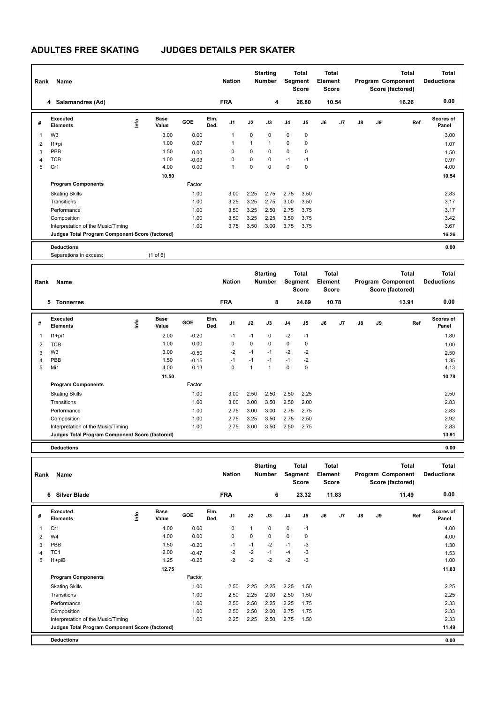# **ADULTES FREE SKATING JUDGES DETAILS PER SKATER**

|                | Name<br>Rank                                    |                              |         | <b>Nation</b>                  |             | <b>Starting</b><br><b>Number</b> |                | <b>Total</b><br>Segment<br><b>Score</b> | <b>Total</b><br>Element<br><b>Score</b> |       |    |    | <b>Total</b><br>Program Component<br>Score (factored) | <b>Total</b><br><b>Deductions</b> |
|----------------|-------------------------------------------------|------------------------------|---------|--------------------------------|-------------|----------------------------------|----------------|-----------------------------------------|-----------------------------------------|-------|----|----|-------------------------------------------------------|-----------------------------------|
|                | Salamandres (Ad)<br>4                           |                              |         | <b>FRA</b>                     |             | 4                                |                | 26.80                                   |                                         | 10.54 |    |    | 16.26                                                 | 0.00                              |
| #              | <b>Executed</b><br><b>Elements</b>              | <b>Base</b><br>١nfo<br>Value | GOE     | Elm.<br>J <sub>1</sub><br>Ded. | J2          | J3                               | J <sub>4</sub> | J <sub>5</sub>                          | J6                                      | J7    | J8 | J9 | Ref                                                   | Scores of<br>Panel                |
|                | W <sub>3</sub>                                  | 3.00                         | 0.00    | 1                              | 0           | 0                                | $\mathbf 0$    | 0                                       |                                         |       |    |    |                                                       | 3.00                              |
| $\overline{2}$ | $11+pi$                                         | 1.00                         | 0.07    |                                | 1           | 1                                | $\pmb{0}$      | $\mathbf 0$                             |                                         |       |    |    |                                                       | 1.07                              |
| 3              | PBB                                             | 1.50                         | 0.00    | $\Omega$                       | $\Omega$    | $\Omega$                         | $\mathbf 0$    | $\mathbf 0$                             |                                         |       |    |    |                                                       | 1.50                              |
| 4              | <b>TCB</b>                                      | 1.00                         | $-0.03$ | 0                              | $\mathbf 0$ | 0                                | $-1$           | $-1$                                    |                                         |       |    |    |                                                       | 0.97                              |
| 5              | Cr1                                             | 4.00                         | 0.00    | 1                              | $\mathbf 0$ | 0                                | $\mathbf 0$    | 0                                       |                                         |       |    |    |                                                       | 4.00                              |
|                |                                                 | 10.50                        |         |                                |             |                                  |                |                                         |                                         |       |    |    |                                                       | 10.54                             |
|                | <b>Program Components</b>                       |                              | Factor  |                                |             |                                  |                |                                         |                                         |       |    |    |                                                       |                                   |
|                | <b>Skating Skills</b>                           |                              | 1.00    | 3.00                           | 2.25        | 2.75                             | 2.75           | 3.50                                    |                                         |       |    |    |                                                       | 2.83                              |
|                | Transitions                                     |                              | 1.00    | 3.25                           | 3.25        | 2.75                             | 3.00           | 3.50                                    |                                         |       |    |    |                                                       | 3.17                              |
|                | Performance                                     |                              | 1.00    | 3.50                           | 3.25        | 2.50                             | 2.75           | 3.75                                    |                                         |       |    |    |                                                       | 3.17                              |
|                | Composition                                     |                              | 1.00    | 3.50                           | 3.25        | 2.25                             | 3.50           | 3.75                                    |                                         |       |    |    |                                                       | 3.42                              |
|                | Interpretation of the Music/Timing              |                              | 1.00    | 3.75                           | 3.50        | 3.00                             | 3.75           | 3.75                                    |                                         |       |    |    |                                                       | 3.67                              |
|                | Judges Total Program Component Score (factored) |                              |         |                                |             |                                  |                |                                         |                                         |       |    |    |                                                       | 16.26                             |
|                | <b>Deductions</b>                               |                              |         |                                |             |                                  |                |                                         |                                         |       |    |    |                                                       | 0.00                              |
|                | Separations in excess:                          | $(1 \text{ of } 6)$          |         |                                |             |                                  |                |                                         |                                         |       |    |    |                                                       |                                   |
|                |                                                 |                              |         |                                |             |                                  |                |                                         |                                         |       |    |    |                                                       |                                   |
|                | Dank Name                                       |                              |         | <b>Nation</b>                  |             | <b>Starting</b><br>Numhor        |                | <b>Total</b><br>Sommant                 | <b>Total</b><br><b>Element</b>          |       |    |    | <b>Total</b><br><b>Drogram Component</b>              | <b>Total</b><br><b>Deductions</b> |

| Rank | Name                                            |      |               |            |              | <b>Nation</b>  |      | Number |                | Segment<br><b>Score</b> | Element<br>Score |       |    |    | Program Component<br>Score (factored) | <b>Deductions</b>         |
|------|-------------------------------------------------|------|---------------|------------|--------------|----------------|------|--------|----------------|-------------------------|------------------|-------|----|----|---------------------------------------|---------------------------|
|      | 5.<br><b>Tonnerres</b>                          |      |               |            |              | <b>FRA</b>     |      | 8      |                | 24.69                   |                  | 10.78 |    |    | 13.91                                 | 0.00                      |
| #    | <b>Executed</b><br><b>Elements</b>              | ١nto | Base<br>Value | <b>GOE</b> | Elm.<br>Ded. | J <sub>1</sub> | J2   | J3     | J <sub>4</sub> | J <sub>5</sub>          | J6               | J7    | J8 | J9 | Ref                                   | <b>Scores of</b><br>Panel |
|      | $11+pi1$                                        |      | 2.00          | $-0.20$    |              | $-1$           | $-1$ | 0      | $-2$           | $-1$                    |                  |       |    |    |                                       | 1.80                      |
| 2    | <b>TCB</b>                                      |      | 1.00          | 0.00       |              | 0              | 0    | 0      | 0              | $\mathbf 0$             |                  |       |    |    |                                       | 1.00                      |
| 3    | W <sub>3</sub>                                  |      | 3.00          | $-0.50$    |              | $-2$           | $-1$ | $-1$   | $-2$           | $-2$                    |                  |       |    |    |                                       | 2.50                      |
| 4    | PBB                                             |      | 1.50          | $-0.15$    |              | $-1$           | $-1$ | $-1$   | $-1$           | $-2$                    |                  |       |    |    |                                       | 1.35                      |
| 5    | Mi1                                             |      | 4.00          | 0.13       |              | 0              | 1    | -1     | $\mathbf 0$    | 0                       |                  |       |    |    |                                       | 4.13                      |
|      |                                                 |      | 11.50         |            |              |                |      |        |                |                         |                  |       |    |    |                                       | 10.78                     |
|      | <b>Program Components</b>                       |      |               | Factor     |              |                |      |        |                |                         |                  |       |    |    |                                       |                           |
|      | <b>Skating Skills</b>                           |      |               | 1.00       |              | 3.00           | 2.50 | 2.50   | 2.50           | 2.25                    |                  |       |    |    |                                       | 2.50                      |
|      | Transitions                                     |      |               | 1.00       |              | 3.00           | 3.00 | 3.50   | 2.50           | 2.00                    |                  |       |    |    |                                       | 2.83                      |
|      | Performance                                     |      |               | 1.00       |              | 2.75           | 3.00 | 3.00   | 2.75           | 2.75                    |                  |       |    |    |                                       | 2.83                      |
|      | Composition                                     |      |               | 1.00       |              | 2.75           | 3.25 | 3.50   | 2.75           | 2.50                    |                  |       |    |    |                                       | 2.92                      |
|      | Interpretation of the Music/Timing              |      |               | 1.00       |              | 2.75           | 3.00 | 3.50   | 2.50           | 2.75                    |                  |       |    |    |                                       | 2.83                      |
|      | Judges Total Program Component Score (factored) |      |               |            |              |                |      |        |                |                         |                  |       |    |    |                                       | 13.91                     |

**Deductions 0.00**

| Rank | Name                                            |    |                      |         |              | <b>Nation</b>  |          | <b>Starting</b><br><b>Number</b> |                | <b>Total</b><br>Segment<br><b>Score</b> | Total<br>Element<br><b>Score</b> |                | Program Component |    | <b>Total</b><br>Score (factored) | <b>Total</b><br><b>Deductions</b> |
|------|-------------------------------------------------|----|----------------------|---------|--------------|----------------|----------|----------------------------------|----------------|-----------------------------------------|----------------------------------|----------------|-------------------|----|----------------------------------|-----------------------------------|
|      | <b>Silver Blade</b><br>6                        |    |                      |         |              | <b>FRA</b>     |          | 6                                |                | 23.32                                   |                                  | 11.83          |                   |    | 11.49                            | 0.00                              |
| #    | Executed<br><b>Elements</b>                     | ۴ů | <b>Base</b><br>Value | GOE     | Elm.<br>Ded. | J <sub>1</sub> | J2       | J3                               | J <sub>4</sub> | J5                                      | J6                               | J <sub>7</sub> | J8                | J9 | Ref                              | <b>Scores of</b><br>Panel         |
| 1    | Cr1                                             |    | 4.00                 | 0.00    |              | 0              | 1        | $\Omega$                         | $\mathbf 0$    | $-1$                                    |                                  |                |                   |    |                                  | 4.00                              |
| 2    | W <sub>4</sub>                                  |    | 4.00                 | 0.00    |              | $\mathbf 0$    | $\Omega$ | $\Omega$                         | $\mathbf 0$    | 0                                       |                                  |                |                   |    |                                  | 4.00                              |
| 3    | PBB                                             |    | 1.50                 | $-0.20$ |              | $-1$           | $-1$     | $-2$                             | $-1$           | $-3$                                    |                                  |                |                   |    |                                  | 1.30                              |
| 4    | TC <sub>1</sub>                                 |    | 2.00                 | $-0.47$ |              | $-2$           | $-2$     | $-1$                             | $-4$           | -3                                      |                                  |                |                   |    |                                  | 1.53                              |
| 5    | $11 + piB$                                      |    | 1.25                 | $-0.25$ |              | $-2$           | $-2$     | $-2$                             | $-2$           | $-3$                                    |                                  |                |                   |    |                                  | 1.00                              |
|      |                                                 |    | 12.75                |         |              |                |          |                                  |                |                                         |                                  |                |                   |    |                                  | 11.83                             |
|      | <b>Program Components</b>                       |    |                      | Factor  |              |                |          |                                  |                |                                         |                                  |                |                   |    |                                  |                                   |
|      | <b>Skating Skills</b>                           |    |                      | 1.00    |              | 2.50           | 2.25     | 2.25                             | 2.25           | 1.50                                    |                                  |                |                   |    |                                  | 2.25                              |
|      | Transitions                                     |    |                      | 1.00    |              | 2.50           | 2.25     | 2.00                             | 2.50           | 1.50                                    |                                  |                |                   |    |                                  | 2.25                              |
|      | Performance                                     |    |                      | 1.00    |              | 2.50           | 2.50     | 2.25                             | 2.25           | 1.75                                    |                                  |                |                   |    |                                  | 2.33                              |
|      | Composition                                     |    |                      | 1.00    |              | 2.50           | 2.50     | 2.00                             | 2.75           | 1.75                                    |                                  |                |                   |    |                                  | 2.33                              |
|      | Interpretation of the Music/Timing              |    |                      | 1.00    |              | 2.25           | 2.25     | 2.50                             | 2.75           | 1.50                                    |                                  |                |                   |    |                                  | 2.33                              |
|      | Judges Total Program Component Score (factored) |    |                      |         |              |                |          |                                  |                |                                         |                                  |                |                   |    |                                  | 11.49                             |
|      | <b>Deductions</b>                               |    |                      |         |              |                |          |                                  |                |                                         |                                  |                |                   |    |                                  | 0.00                              |